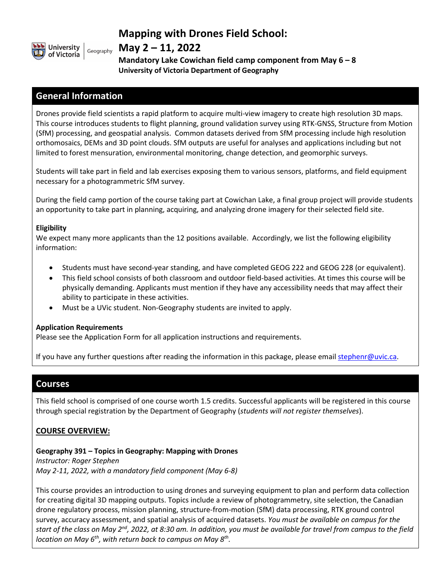

## **Mapping with Drones Field School:**

## **May 2 – 11, 2022**

**Mandatory Lake Cowichan field camp component from May 6 – 8 University of Victoria Department of Geography**

## **General Information**

Drones provide field scientists a rapid platform to acquire multi-view imagery to create high resolution 3D maps. This course introduces students to flight planning, ground validation survey using RTK-GNSS, Structure from Motion (SfM) processing, and geospatial analysis. Common datasets derived from SfM processing include high resolution orthomosaics, DEMs and 3D point clouds. SfM outputs are useful for analyses and applications including but not limited to forest mensuration, environmental monitoring, change detection, and geomorphic surveys.

Students will take part in field and lab exercises exposing them to various sensors, platforms, and field equipment necessary for a photogrammetric SfM survey.

During the field camp portion of the course taking part at Cowichan Lake, a final group project will provide students an opportunity to take part in planning, acquiring, and analyzing drone imagery for their selected field site.

#### **Eligibility**

We expect many more applicants than the 12 positions available. Accordingly, we list the following eligibility information:

- Students must have second-year standing, and have completed GEOG 222 and GEOG 228 (or equivalent).
- This field school consists of both classroom and outdoor field-based activities. At times this course will be physically demanding. Applicants must mention if they have any accessibility needs that may affect their ability to participate in these activities.
- Must be a UVic student. Non-Geography students are invited to apply.

#### **Application Requirements**

Please see the Application Form for all application instructions and requirements.

If you have any further questions after reading the information in this package, please email [step](mailto:gkrezoski@uvic.ca)henr@uvic.ca.

## **Courses**

This field school is comprised of one course worth 1.5 credits. Successful applicants will be registered in this course through special registration by the Department of Geography (*students will not register themselves*).

## **COURSE OVERVIEW:**

**Geography 391 – Topics in Geography: Mapping with Drones** *Instructor: Roger Stephen*

*May 2-11, 2022, with a mandatory field component (May 6-8)*

This course provides an introduction to using drones and surveying equipment to plan and perform data collection for creating digital 3D mapping outputs. Topics include a review of photogrammetry, site selection, the Canadian drone regulatory process, mission planning, structure-from-motion (SfM) data processing, RTK ground control survey, accuracy assessment, and spatial analysis of acquired datasets. *You must be available on campus for the start of the class on May 2nd, 2022, at 8:30 am. In addition, you must be available for travel from campus to the field location on May 6th, with return back to campus on May 8th.*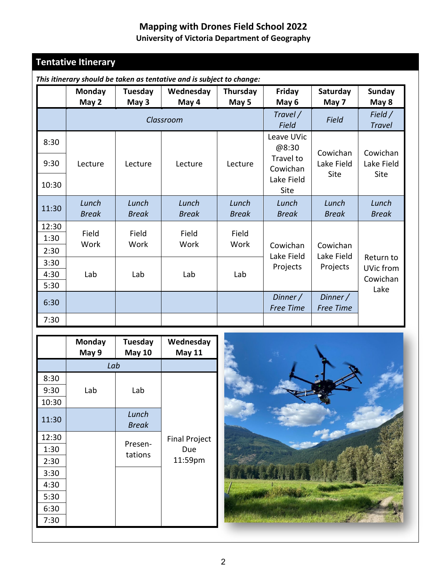# **Mapping with Drones Field School 2022**

## **University of Victoria Department of Geography**

# **Tentative Itinerary**

|       | Monday<br>May 2       | Tuesday<br>May 3      | Wednesday<br>May 4    | Thursday<br>May 5        | Friday<br>May 6              | Saturday<br>May 7            | <b>Sunday</b><br>May 8 |
|-------|-----------------------|-----------------------|-----------------------|--------------------------|------------------------------|------------------------------|------------------------|
|       | Classroom             |                       |                       | Travel /<br><b>Field</b> | <b>Field</b>                 | Field /<br><b>Travel</b>     |                        |
| 8:30  |                       |                       |                       |                          | Leave UVic<br>@8:30          | Cowichan                     | Cowichan               |
| 9:30  | Lecture               | Lecture               | Lecture               | Lecture                  | Travel to<br>Cowichan        | Lake Field<br>Site           | Lake Field<br>Site     |
| 10:30 |                       |                       |                       |                          | Lake Field<br><b>Site</b>    |                              |                        |
| 11:30 | Lunch<br><b>Break</b> | Lunch<br><b>Break</b> | Lunch<br><b>Break</b> | Lunch<br><b>Break</b>    | Lunch<br><b>Break</b>        | Lunch<br><b>Break</b>        | Lunch<br><b>Break</b>  |
| 12:30 | Field                 | Field                 | Field                 | Field                    |                              |                              |                        |
| 1:30  | Work                  | Work                  | Work                  | Work                     | Cowichan                     | Cowichan                     |                        |
| 2:30  |                       |                       |                       |                          | Lake Field                   | Lake Field                   |                        |
| 3:30  |                       |                       |                       |                          | Projects                     | Projects                     | Return to<br>UVic from |
| 4:30  | Lab                   | Lab                   | Lab                   | Lab                      |                              |                              | Cowichan               |
| 5:30  |                       |                       |                       |                          |                              |                              | Lake                   |
| 6:30  |                       |                       |                       |                          | Dinner /<br><b>Free Time</b> | Dinner /<br><b>Free Time</b> |                        |
| 7:30  |                       |                       |                       |                          |                              |                              |                        |

*This itinerary should be taken as tentative and is subject to change:*

|       | <b>Monday</b><br>May 9 | Tuesday<br><b>May 10</b> | Wednesday<br><b>May 11</b> |
|-------|------------------------|--------------------------|----------------------------|
|       | Lab                    |                          |                            |
| 8:30  |                        |                          |                            |
| 9:30  | Lab                    | Lab                      |                            |
| 10:30 |                        |                          |                            |
| 11:30 |                        | Lunch<br><b>Break</b>    |                            |
| 12:30 |                        |                          | <b>Final Project</b>       |
| 1:30  |                        | Presen-<br>tations       | Due                        |
| 2:30  |                        |                          | 11:59pm                    |
| 3:30  |                        |                          |                            |
| 4:30  |                        |                          |                            |
| 5:30  |                        |                          |                            |
| 6:30  |                        |                          |                            |
| 7:30  |                        |                          |                            |